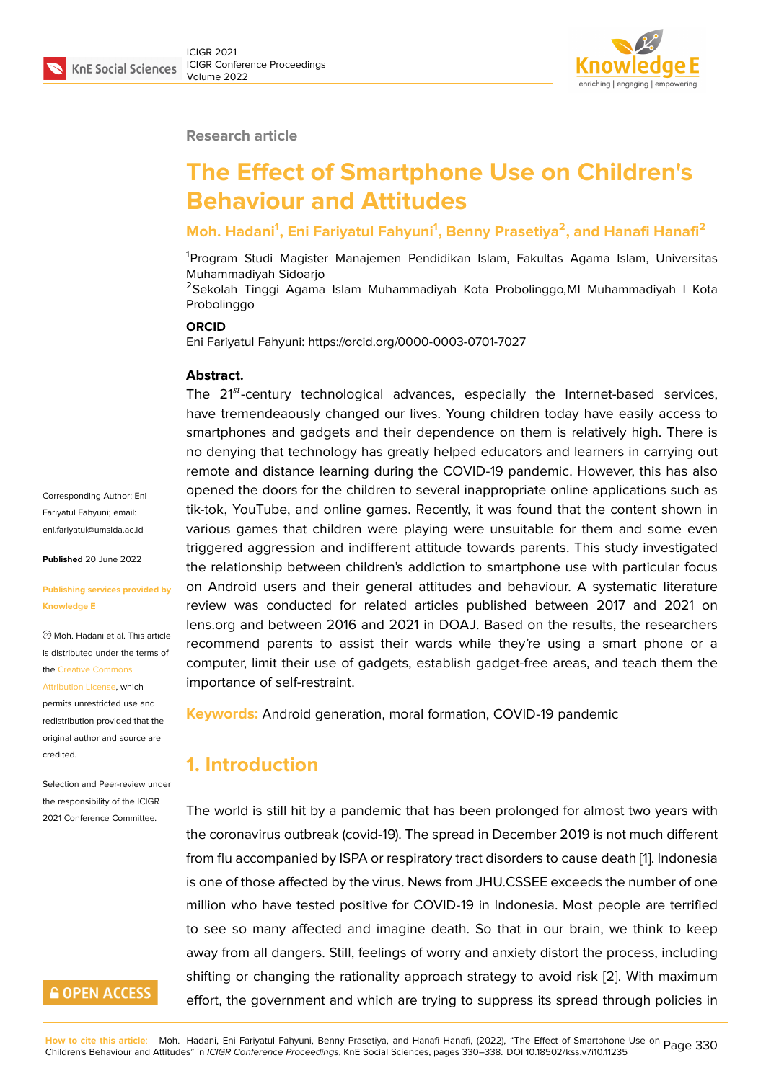#### **Research article**

# **The Effect of Smartphone Use on Children's Behaviour and Attitudes**

### **Moh. Hadani<sup>1</sup> , Eni Fariyatul Fahyuni<sup>1</sup> , Benny Prasetiya<sup>2</sup> , and Hanafi Hanafi<sup>2</sup>**

<sup>1</sup>Program Studi Magister Manajemen Pendidikan Islam, Fakultas Agama Islam, Universitas Muhammadiyah Sidoarjo

<sup>2</sup>Sekolah Tinggi Agama Islam Muhammadiyah Kota Probolinggo,MI Muhammadiyah I Kota Probolinggo

#### **ORCID**

Eni Fariyatul Fahyuni: https://orcid.org/0000-0003-0701-7027

#### **Abstract.**

The  $21^{st}$ -century technological advances, especially the Internet-based services, have tremendeaously changed our lives. Young children today have easily access to smartphones and gadgets and their dependence on them is relatively high. There is no denying that technology has greatly helped educators and learners in carrying out remote and distance learning during the COVID-19 pandemic. However, this has also opened the doors for the children to several inappropriate online applications such as tik-tok, YouTube, and online games. Recently, it was found that the content shown in various games that children were playing were unsuitable for them and some even triggered aggression and indifferent attitude towards parents. This study investigated the relationship between children's addiction to smartphone use with particular focus on Android users and their general attitudes and behaviour. A systematic literature review was conducted for related articles published between 2017 and 2021 on lens.org and between 2016 and 2021 in DOAJ. Based on the results, the researchers recommend parents to assist their wards while they're using a smart phone or a computer, limit their use of gadgets, establish gadget-free areas, and teach them the importance of self-restraint.

**Keywords:** Android generation, moral formation, COVID-19 pandemic

### **1. Introduction**

The world is still hit by a pandemic that has been prolonged for almost two years with the coronavirus outbreak (covid-19). The spread in December 2019 is not much different from flu accompanied by ISPA or respiratory tract disorders to cause death [1]. Indonesia is one of those affected by the virus. News from JHU.CSSEE exceeds the number of one million who have tested positive for COVID-19 in Indonesia. Most people are terrified to see so many affected and imagine death. So that in our brain, we t[hi](#page-6-0)nk to keep away from all dangers. Still, feelings of worry and anxiety distort the process, including shifting or changing the rationality approach strategy to avoid risk [2]. With maximum effort, the government and which are trying to suppress its spread through policies in

Corresponding Author: Eni Fariyatul Fahyuni; email: eni.fariyatul@umsida.ac.id

**Published** 20 June 2022

#### **[Publishing services provi](mailto:eni.fariyatul@umsida.ac.id)ded by Knowledge E**

Moh. Hadani et al. This article is distributed under the terms of the Creative Commons

Attribution License, which

permits unrestricted use and redistribution provided that the orig[inal author and sou](https://creativecommons.org/licenses/by/4.0/)rce are [credited.](https://creativecommons.org/licenses/by/4.0/)

Selection and Peer-review under the responsibility of the ICIGR 2021 Conference Committee.

# **GOPEN ACCESS**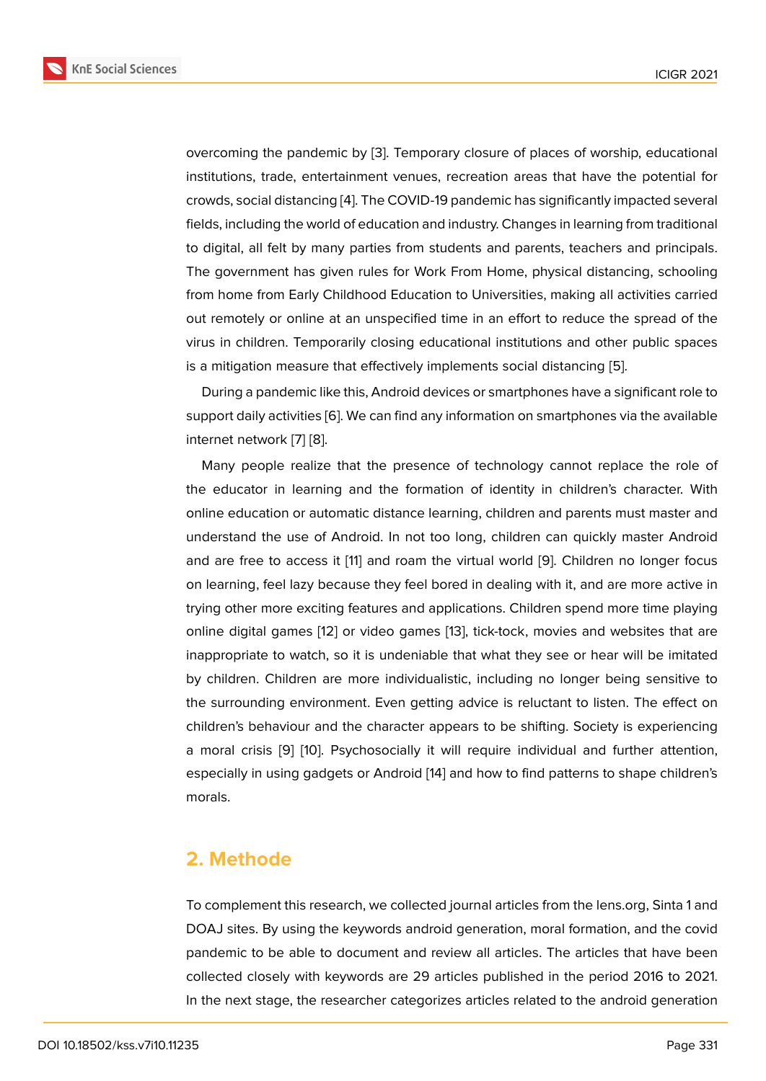overcoming the pandemic by [3]. Temporary closure of places of worship, educational institutions, trade, entertainment venues, recreation areas that have the potential for crowds, social distancing [4]. The COVID-19 pandemic has significantly impacted several fields, including the world of ed[uc](#page-6-2)ation and industry. Changes in learning from traditional to digital, all felt by many parties from students and parents, teachers and principals. The government has giv[en](#page-6-3) rules for Work From Home, physical distancing, schooling from home from Early Childhood Education to Universities, making all activities carried out remotely or online at an unspecified time in an effort to reduce the spread of the virus in children. Temporarily closing educational institutions and other public spaces is a mitigation measure that effectively implements social distancing [5].

During a pandemic like this, Android devices or smartphones have a significant role to support daily activities [6]. We can find any information on smartphones via the available internet network [7] [8].

Many people realize that the presence of technology cannot replace the role of the educator in learni[ng](#page-7-0) and the formation of identity in children's character. With online education [or](#page-7-1) [au](#page-7-2)tomatic distance learning, children and parents must master and understand the use of Android. In not too long, children can quickly master Android and are free to access it [11] and roam the virtual world [9]. Children no longer focus on learning, feel lazy because they feel bored in dealing with it, and are more active in trying other more exciting features and applications. Children spend more time playing online digital games [12] [or](#page-7-3) video games [13], tick-tock, [mo](#page-7-4)vies and websites that are inappropriate to watch, so it is undeniable that what they see or hear will be imitated by children. Children are more individualistic, including no longer being sensitive to the surrounding envir[on](#page-7-5)ment. Even gettin[g a](#page-7-6)dvice is reluctant to listen. The effect on children's behaviour and the character appears to be shifting. Society is experiencing a moral crisis [9] [10]. Psychosocially it will require individual and further attention, especially in using gadgets or Android [14] and how to find patterns to shape children's morals.

### **2. Methode**

To complement this research, we collected journal articles from the lens.org, Sinta 1 and DOAJ sites. By using the keywords android generation, moral formation, and the covid pandemic to be able to document and review all articles. The articles that have been collected closely with keywords are 29 articles published in the period 2016 to 2021. In the next stage, the researcher categorizes articles related to the android generation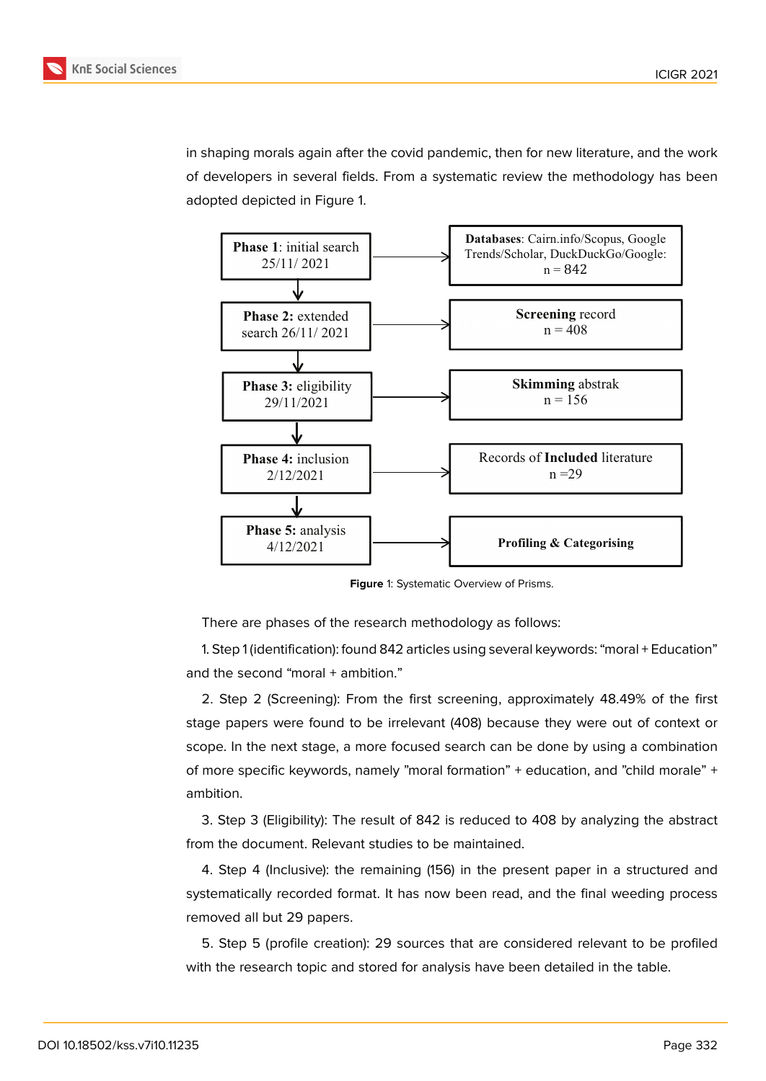in shaping morals again after the covid pandemic, then for new literature, and the work of developers in several fields. From a systematic review the methodology has been adopted depicted in Figure 1.



**Figure** 1: Systematic Overview of Prisms.

There are phases of the research methodology as follows:

1. Step 1 (identification): found 842 articles using several keywords: "moral + Education" and the second "moral + ambition."

2. Step 2 (Screening): From the first screening, approximately 48.49% of the first stage papers were found to be irrelevant (408) because they were out of context or scope. In the next stage, a more focused search can be done by using a combination of more specific keywords, namely "moral formation" + education, and "child morale" + ambition.

3. Step 3 (Eligibility): The result of 842 is reduced to 408 by analyzing the abstract from the document. Relevant studies to be maintained.

4. Step 4 (Inclusive): the remaining (156) in the present paper in a structured and systematically recorded format. It has now been read, and the final weeding process removed all but 29 papers.

5. Step 5 (profile creation): 29 sources that are considered relevant to be profiled with the research topic and stored for analysis have been detailed in the table.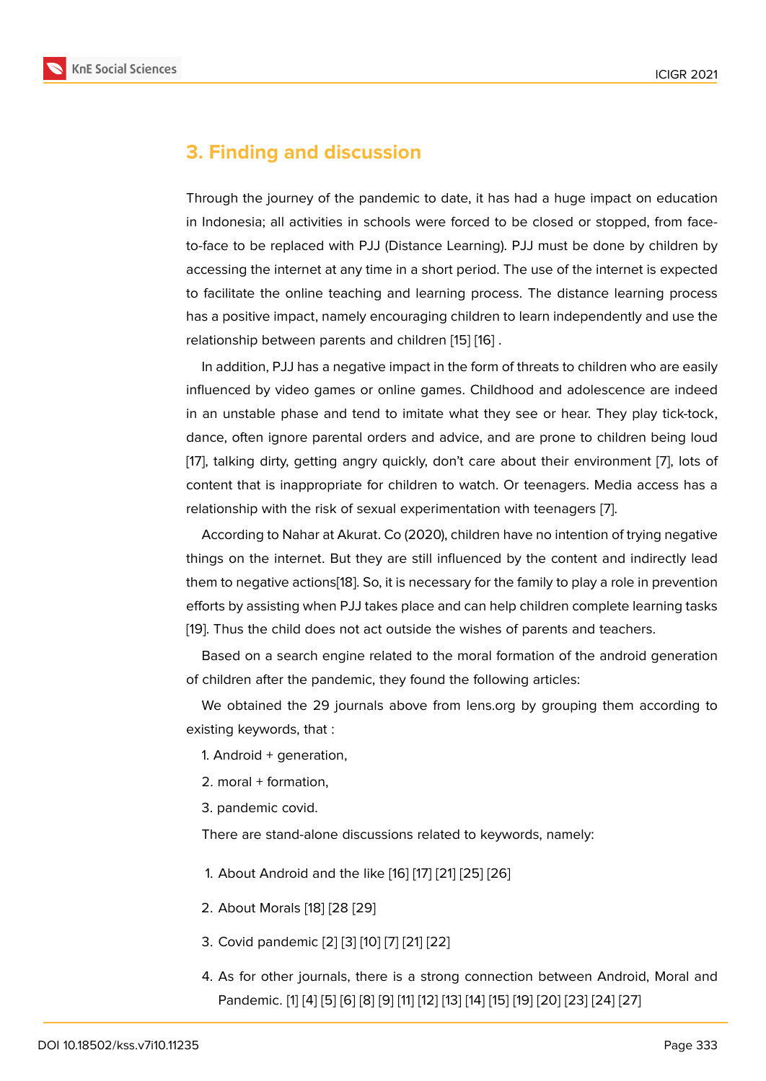### **3. Finding and discussion**

Through the journey of the pandemic to date, it has had a huge impact on education in Indonesia; all activities in schools were forced to be closed or stopped, from faceto-face to be replaced with PJJ (Distance Learning). PJJ must be done by children by accessing the internet at any time in a short period. The use of the internet is expected to facilitate the online teaching and learning process. The distance learning process has a positive impact, namely encouraging children to learn independently and use the relationship between parents and children [15] [16] .

In addition, PJJ has a negative impact in the form of threats to children who are easily influenced by video games or online games. Childhood and adolescence are indeed in an unstable phase and tend to imitate [wh](#page-7-7)a[t th](#page-7-8)ey see or hear. They play tick-tock, dance, often ignore parental orders and advice, and are prone to children being loud [17], talking dirty, getting angry quickly, don't care about their environment [7], lots of content that is inappropriate for children to watch. Or teenagers. Media access has a relationship with the risk of sexual experimentation with teenagers [7].

[A](#page-7-9)ccording to Nahar at Akurat. Co (2020), children have no intention of tryin[g n](#page-7-1)egative things on the internet. But they are still influenced by the content and indirectly lead them to negative actions[18]. So, it is necessary for the family to play [a](#page-7-1) role in prevention efforts by assisting when PJJ takes place and can help children complete learning tasks [19]. Thus the child does not act outside the wishes of parents and teachers.

Based on a search en[gin](#page-8-0)e related to the moral formation of the android generation of children after the pandemic, they found the following articles:

[W](#page-8-1)e obtained the 29 journals above from lens.org by grouping them according to existing keywords, that :

1. Android + generation,

- 2. moral + formation,
- 3. pandemic covid.

There are stand-alone discussions related to keywords, namely:

- 1. About Android and the like [16] [17] [21] [25] [26]
- 2. About Morals [18] [28 [29]
- 3. Covid pandemic [2] [3] [10] [[7\] \[](#page-7-8)2[1\] \[](#page-7-9)2[2\]](#page-8-2)
- 4. As for other j[our](#page-8-0)nals, [the](#page-8-3)re is a strong connection between Android, Moral and Pandemic. [1] [4] [[5\]](#page-6-1) [[6\]](#page-6-2) [[8\]](#page-7-10) [[9\]](#page-7-1) [1[1\] \[](#page-8-2)1[2\] \[1](#page-8-4)3] [14] [15] [19] [20] [23] [24] [27]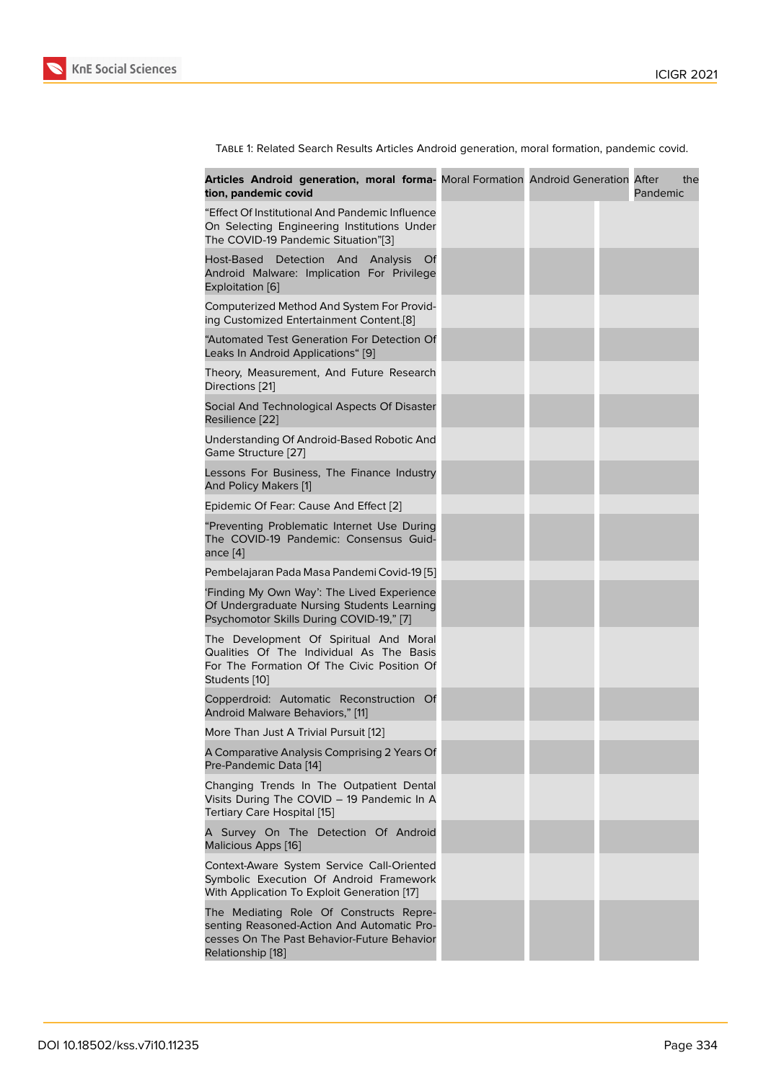Table 1: Related Search Results Articles Android generation, moral formation, pandemic covid.

| Articles Android generation, moral forma- Moral Formation Android Generation After<br>tion, pandemic covid                                                |  | the<br>Pandemic |
|-----------------------------------------------------------------------------------------------------------------------------------------------------------|--|-----------------|
| "Effect Of Institutional And Pandemic Influence"<br>On Selecting Engineering Institutions Under<br>The COVID-19 Pandemic Situation"[3]                    |  |                 |
| Host-Based Detection And<br>Analysis<br>- Of<br>Android Malware: Implication For Privilege<br>Exploitation [6]                                            |  |                 |
| Computerized Method And System For Provid-<br>ing Customized Entertainment Content.[8]                                                                    |  |                 |
| "Automated Test Generation For Detection Of<br>Leaks In Android Applications" [9]                                                                         |  |                 |
| Theory, Measurement, And Future Research<br>Directions [21]                                                                                               |  |                 |
| Social And Technological Aspects Of Disaster<br>Resilience [22]                                                                                           |  |                 |
| Understanding Of Android-Based Robotic And<br>Game Structure [27]                                                                                         |  |                 |
| Lessons For Business, The Finance Industry<br>And Policy Makers [1]                                                                                       |  |                 |
| Epidemic Of Fear: Cause And Effect [2]                                                                                                                    |  |                 |
| "Preventing Problematic Internet Use During<br>The COVID-19 Pandemic: Consensus Guid-<br>ance [4]                                                         |  |                 |
| Pembelajaran Pada Masa Pandemi Covid-19 [5]                                                                                                               |  |                 |
| Finding My Own Way': The Lived Experience<br>Of Undergraduate Nursing Students Learning<br>Psychomotor Skills During COVID-19," [7]                       |  |                 |
| The Development Of Spiritual And Moral<br>Qualities Of The Individual As The Basis<br>For The Formation Of The Civic Position Of<br>Students [10]         |  |                 |
| Copperdroid: Automatic Reconstruction Of<br>Android Malware Behaviors," [11]                                                                              |  |                 |
| More Than Just A Trivial Pursuit [12]                                                                                                                     |  |                 |
| A Comparative Analysis Comprising 2 Years Of<br>Pre-Pandemic Data [14]                                                                                    |  |                 |
| Changing Trends In The Outpatient Dental<br>Visits During The COVID - 19 Pandemic In A<br>Tertiary Care Hospital [15]                                     |  |                 |
| A Survey On The Detection Of Android<br>Malicious Apps [16]                                                                                               |  |                 |
| Context-Aware System Service Call-Oriented<br>Symbolic Execution Of Android Framework<br>With Application To Exploit Generation [17]                      |  |                 |
| The Mediating Role Of Constructs Repre-<br>senting Reasoned-Action And Automatic Pro-<br>cesses On The Past Behavior-Future Behavior<br>Relationship [18] |  |                 |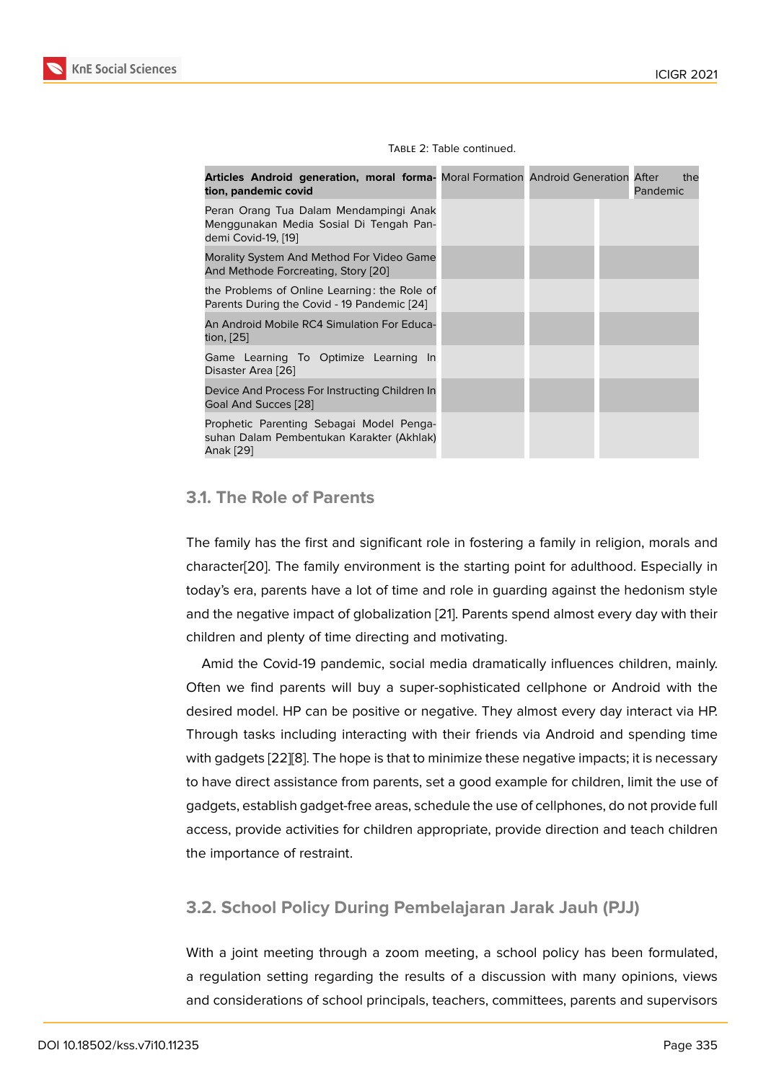| <b>Articles Android generation, moral forma-</b> Moral Formation Android Generation After<br>tion, pandemic covid |  |  | Pandemic | the |
|-------------------------------------------------------------------------------------------------------------------|--|--|----------|-----|
| Peran Orang Tua Dalam Mendampingi Anak<br>Menggunakan Media Sosial Di Tengah Pan-<br>demi Covid-19, [19]          |  |  |          |     |
| Morality System And Method For Video Game<br>And Methode Forcreating, Story [20]                                  |  |  |          |     |
| the Problems of Online Learning: the Role of<br>Parents During the Covid - 19 Pandemic [24]                       |  |  |          |     |
| An Android Mobile RC4 Simulation For Educa-<br>tion, [25]                                                         |  |  |          |     |
| Game Learning To Optimize Learning In<br>Disaster Area [26]                                                       |  |  |          |     |
| Device And Process For Instructing Children In<br>Goal And Succes [28]                                            |  |  |          |     |
| Prophetic Parenting Sebagai Model Penga-<br>suhan Dalam Pembentukan Karakter (Akhlak)<br>Anak [29]                |  |  |          |     |

#### Table 2: Table continued.

#### **3.1. The Role of Parents**

The family has the first and significant role in fostering a family in religion, morals and character[20]. The family environment is the starting point for adulthood. Especially in today's era, parents have a lot of time and role in guarding against the hedonism style and the negative impact of globalization [21]. Parents spend almost every day with their children [and](#page-8-6) plenty of time directing and motivating.

Amid the Covid-19 pandemic, social media dramatically influences children, mainly. Often we find parents will buy a super[-so](#page-8-2)phisticated cellphone or Android with the desired model. HP can be positive or negative. They almost every day interact via HP. Through tasks including interacting with their friends via Android and spending time with gadgets [22][8]. The hope is that to minimize these negative impacts; it is necessary to have direct assistance from parents, set a good example for children, limit the use of gadgets, establish gadget-free areas, schedule the use of cellphones, do not provide full access, provi[de a](#page-8-4)[ct](#page-7-2)ivities for children appropriate, provide direction and teach children the importance of restraint.

### **3.2. School Policy During Pembelajaran Jarak Jauh (PJJ)**

With a joint meeting through a zoom meeting, a school policy has been formulated, a regulation setting regarding the results of a discussion with many opinions, views and considerations of school principals, teachers, committees, parents and supervisors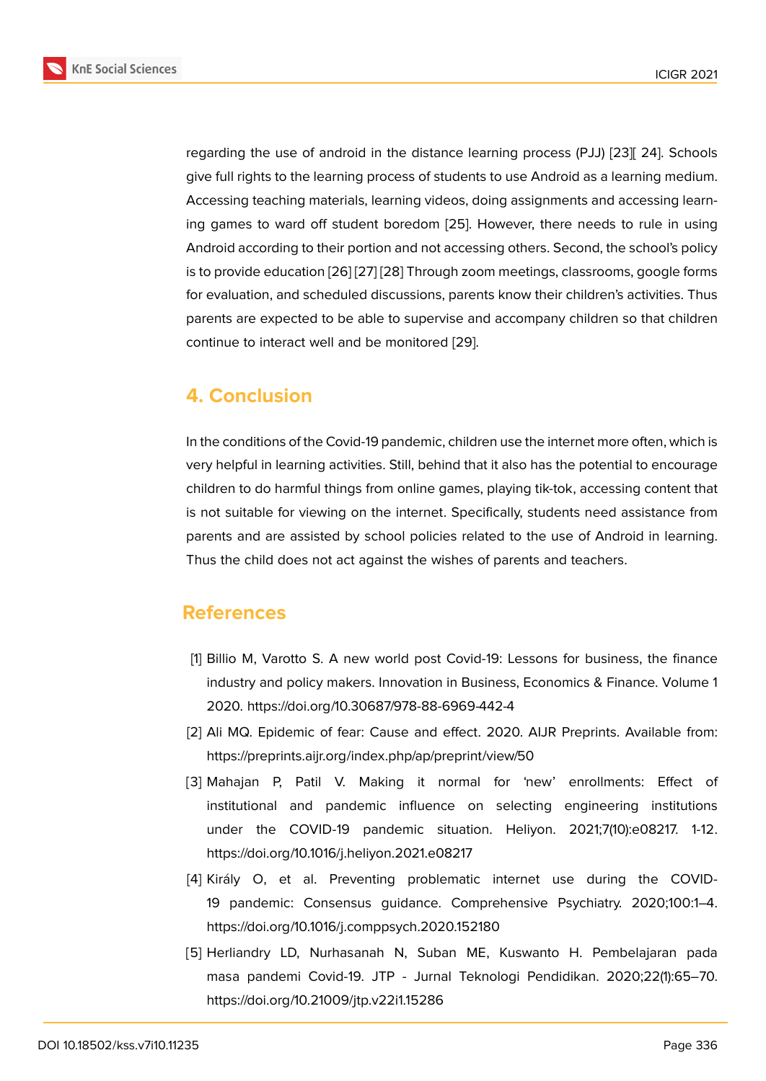regarding the use of android in the distance learning process (PJJ) [23][ 24]. Schools give full rights to the learning process of students to use Android as a learning medium. Accessing teaching materials, learning videos, doing assignments and accessing learning games to ward off student boredom [25]. However, there need[s to](#page-8-10) rule in using Android according to their portion and not accessing others. Second, the school's policy is to provide education [26] [27] [28] Through zoom meetings, classrooms, google forms for evaluation, and scheduled discussions, [par](#page-8-8)ents know their children's activities. Thus parents are expected to be able to supervise and accompany children so that children continue to interact wel[l an](#page-8-9)[d be](#page-8-5) [mo](#page-8-11)nitored [29].

# **4. Conclusion**

In the conditions of the Covid-19 pandemic, children use the internet more often, which is very helpful in learning activities. Still, behind that it also has the potential to encourage children to do harmful things from online games, playing tik-tok, accessing content that is not suitable for viewing on the internet. Specifically, students need assistance from parents and are assisted by school policies related to the use of Android in learning. Thus the child does not act against the wishes of parents and teachers.

## **References**

- [1] Billio M, Varotto S. A new world post Covid-19: Lessons for business, the finance industry and policy makers. Innovation in Business, Economics & Finance. Volume 1 2020. https://doi.org/10.30687/978-88-6969-442-4
- <span id="page-6-0"></span>[2] Ali MQ. Epidemic of fear: Cause and effect. 2020. AIJR Preprints. Available from: https://preprints.aijr.org/index.php/ap/preprint/view/50
- <span id="page-6-1"></span>[3] Mahajan P, Patil V. Making it normal for 'new' enrollments: Effect of institutional and pandemic influence on selecting engineering institutions under the COVID-19 pandemic situation. Heliyon. 2021;7(10):e08217. 1-12. https://doi.org/10.1016/j.heliyon.2021.e08217
- <span id="page-6-2"></span>[4] Király O, et al. Preventing problematic internet use during the COVID-19 pandemic: Consensus guidance. Comprehensive Psychiatry. 2020;100:1–4. https://doi.org/10.1016/j.comppsych.2020.152180
- <span id="page-6-4"></span><span id="page-6-3"></span>[5] Herliandry LD, Nurhasanah N, Suban ME, Kuswanto H. Pembelajaran pada masa pandemi Covid-19. JTP - Jurnal Teknologi Pendidikan. 2020;22(1):65–70. https://doi.org/10.21009/jtp.v22i1.15286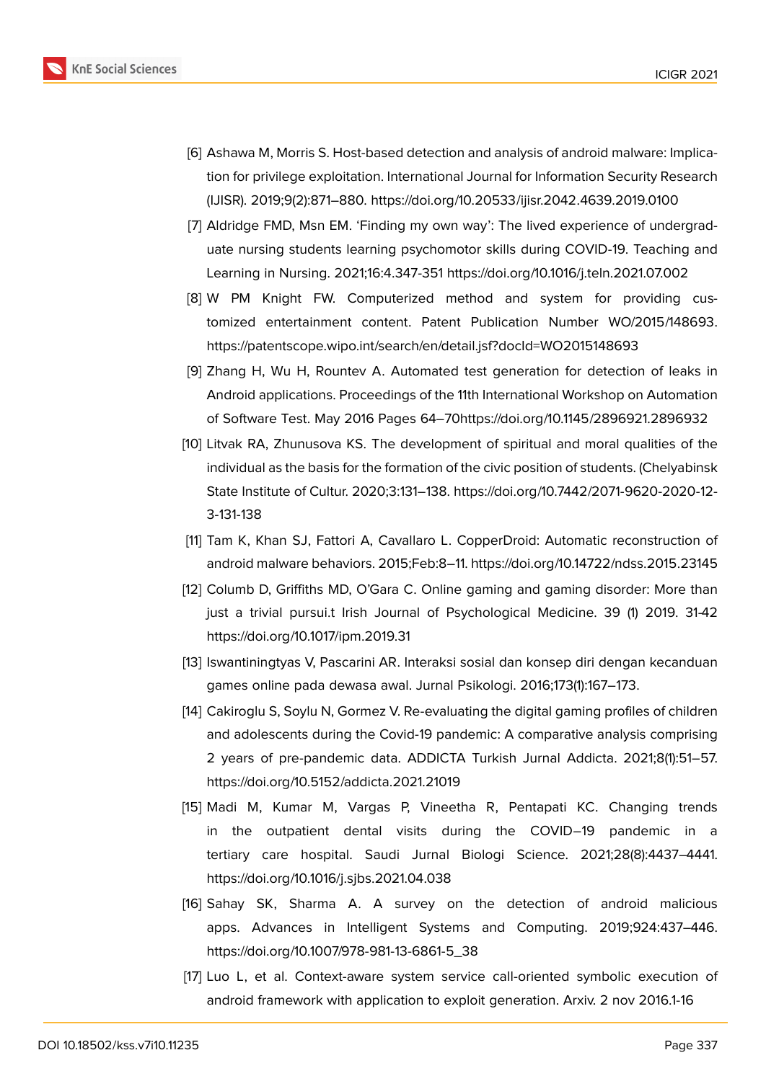

- <span id="page-7-0"></span>[6] Ashawa M, Morris S. Host-based detection and analysis of android malware: Implication for privilege exploitation. International Journal for Information Security Research (IJISR). 2019;9(2):871–880. https://doi.org/10.20533/ijisr.2042.4639.2019.0100
- <span id="page-7-1"></span>[7] Aldridge FMD, Msn EM. 'Finding my own way': The lived experience of undergraduate nursing students learning psychomotor skills during COVID-19. Teaching and Learning in Nursing. 2021;16:4.347-351 https://doi.org/10.1016/j.teln.2021.07.002
- <span id="page-7-2"></span>[8] W PM Knight FW. Computerized method and system for providing customized entertainment content. Patent Publication Number WO/2015/148693. https://patentscope.wipo.int/search/en/detail.jsf?docId=WO2015148693
- <span id="page-7-4"></span>[9] Zhang H, Wu H, Rountev A. Automated test generation for detection of leaks in Android applications. Proceedings of the 11th International Workshop on Automation of Software Test. May 2016 Pages 64–70https://doi.org/10.1145/2896921.2896932
- <span id="page-7-10"></span>[10] Litvak RA, Zhunusova KS. The development of spiritual and moral qualities of the individual as the basis for the formation of the civic position of students. (Chelyabinsk State Institute of Cultur. 2020;3:131–138. https://doi.org/10.7442/2071-9620-2020-12- 3-131-138
- <span id="page-7-3"></span>[11] Tam K, Khan SJ, Fattori A, Cavallaro L. CopperDroid: Automatic reconstruction of android malware behaviors. 2015;Feb:8–11. https://doi.org/10.14722/ndss.2015.23145
- <span id="page-7-5"></span>[12] Columb D, Griffiths MD, O'Gara C. Online gaming and gaming disorder: More than just a trivial pursui.t Irish Journal of Psychological Medicine. 39 (1) 2019. 31-42 https://doi.org/10.1017/ipm.2019.31
- <span id="page-7-6"></span>[13] Iswantiningtyas V, Pascarini AR. Interaksi sosial dan konsep diri dengan kecanduan games online pada dewasa awal. Jurnal Psikologi. 2016;173(1):167–173.
- <span id="page-7-11"></span>[14] Cakiroglu S, Soylu N, Gormez V. Re-evaluating the digital gaming profiles of children and adolescents during the Covid-19 pandemic: A comparative analysis comprising 2 years of pre-pandemic data. ADDICTA Turkish Jurnal Addicta. 2021;8(1):51–57. https://doi.org/10.5152/addicta.2021.21019
- <span id="page-7-7"></span>[15] Madi M, Kumar M, Vargas P, Vineetha R, Pentapati KC. Changing trends in the outpatient dental visits during the COVID–19 pandemic in a tertiary care hospital. Saudi Jurnal Biologi Science. 2021;28(8):4437–4441. https://doi.org/10.1016/j.sjbs.2021.04.038
- <span id="page-7-8"></span>[16] Sahay SK, Sharma A. A survey on the detection of android malicious apps. Advances in Intelligent Systems and Computing. 2019;924:437–446. https://doi.org/10.1007/978-981-13-6861-5\_38
- <span id="page-7-9"></span>[17] Luo L, et al. Context-aware system service call-oriented symbolic execution of android framework with application to exploit generation. Arxiv. 2 nov 2016.1-16